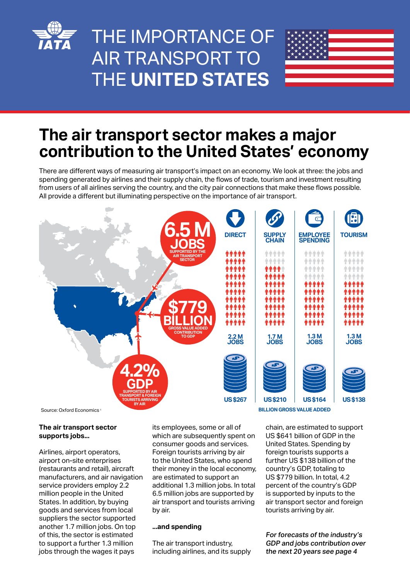

# THE IMPORTANCE OF AIR TRANSPORT TO THE **UNITED STATES**



## **The air transport sector makes a major contribution to the United States' economy**

There are different ways of measuring air transport's impact on an economy. We look at three: the jobs and spending generated by airlines and their supply chain, the flows of trade, tourism and investment resulting from users of all airlines serving the country, and the city pair connections that make these flows possible. All provide a different but illuminating perspective on the importance of air transport.



Source: Oxford Economics

#### **The air transport sector supports jobs...**

Airlines, airport operators, airport on-site enterprises (restaurants and retail), aircraft manufacturers, and air navigation service providers employ 2.2 million people in the United States. In addition, by buying goods and services from local suppliers the sector supported another 1.7 million jobs. On top of this, the sector is estimated to support a further 1.3 million jobs through the wages it pays

its employees, some or all of which are subsequently spent on consumer goods and services. Foreign tourists arriving by air to the United States, who spend their money in the local economy, are estimated to support an additional 1.3 million jobs. In total 6.5 million jobs are supported by air transport and tourists arriving by air.

#### **...and spending**

The air transport industry, including airlines, and its supply

chain, are estimated to support US \$641 billion of GDP in the United States. Spending by foreign tourists supports a further US \$138 billion of the country's GDP, totaling to US \$779 billion. In total, 4.2 percent of the country's GDP is supported by inputs to the air transport sector and foreign tourists arriving by air.

For forecasts of the industry's GDP and jobs contribution over the next 20 years see page 4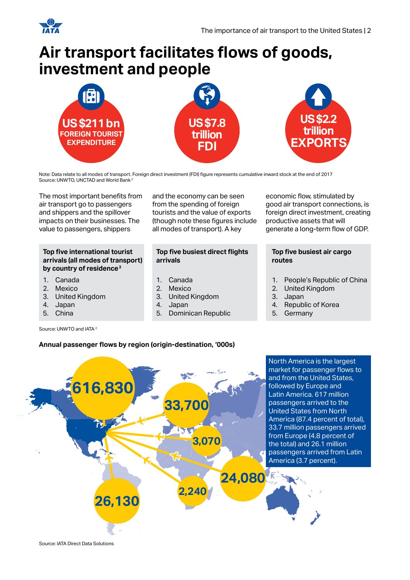

## **Air transport facilitates flows of goods, investment and people**



Note: Data relate to all modes of transport. Foreign direct investment (FDI) figure represents cumulative inward stock at the end of 2017 Source: UNWTO, UNCTAD and World Bank 2

The most important benefits from air transport go to passengers and shippers and the spillover impacts on their businesses. The value to passengers, shippers

#### **Top five international tourist arrivals (all modes of transport) by country of residence3**

- 1. Canada
- **Mexico**
- 3. United Kingdom
- 4. Japan
- 5. China

Source: UNWTO and IATA<sup>2</sup>

and the economy can be seen from the spending of foreign tourists and the value of exports (though note these figures include all modes of transport). A key

#### **Top five busiest direct flights arrivals**

- 1. Canada
- 2. Mexico
- 3. United Kingdom<br>4. Japan
- 4. Japan
- 5. Dominican Republic

#### economic flow, stimulated by good air transport connections, is foreign direct investment, creating productive assets that will generate a long-term flow of GDP.

#### **Top five busiest air cargo routes**

- 1. People's Republic of China<br>2. United Kinadom
- 2. United Kingdom<br>3. Japan
- 
- 3. Japan Republic of Korea
- 5. Germany

### **Annual passenger flows by region (origin-destination, '000s)**



Source: IATA Direct Data Solutions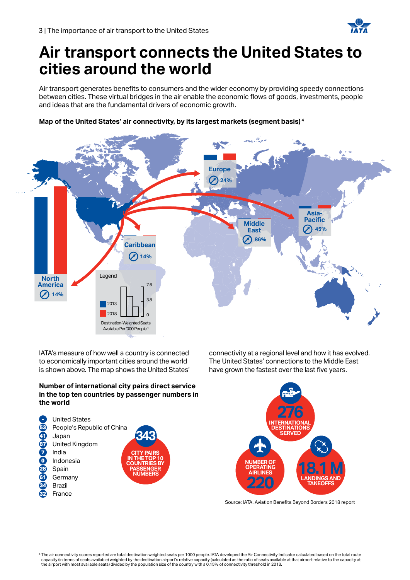

## **Air transport connects the United States to cities around the world**

Air transport generates benefits to consumers and the wider economy by providing speedy connections between cities. These virtual bridges in the air enable the economic flows of goods, investments, people and ideas that are the fundamental drivers of economic growth.

#### **Map of the United States' air connectivity, by its largest markets (segment basis) <sup>4</sup>**



IATA's measure of how well a country is connected to economically important cities around the world is shown above. The map shows the United States'

#### **Number of international city pairs direct service in the top ten countries by passenger numbers in the world**







Source: IATA, Aviation Benefits Beyond Borders 2018 report